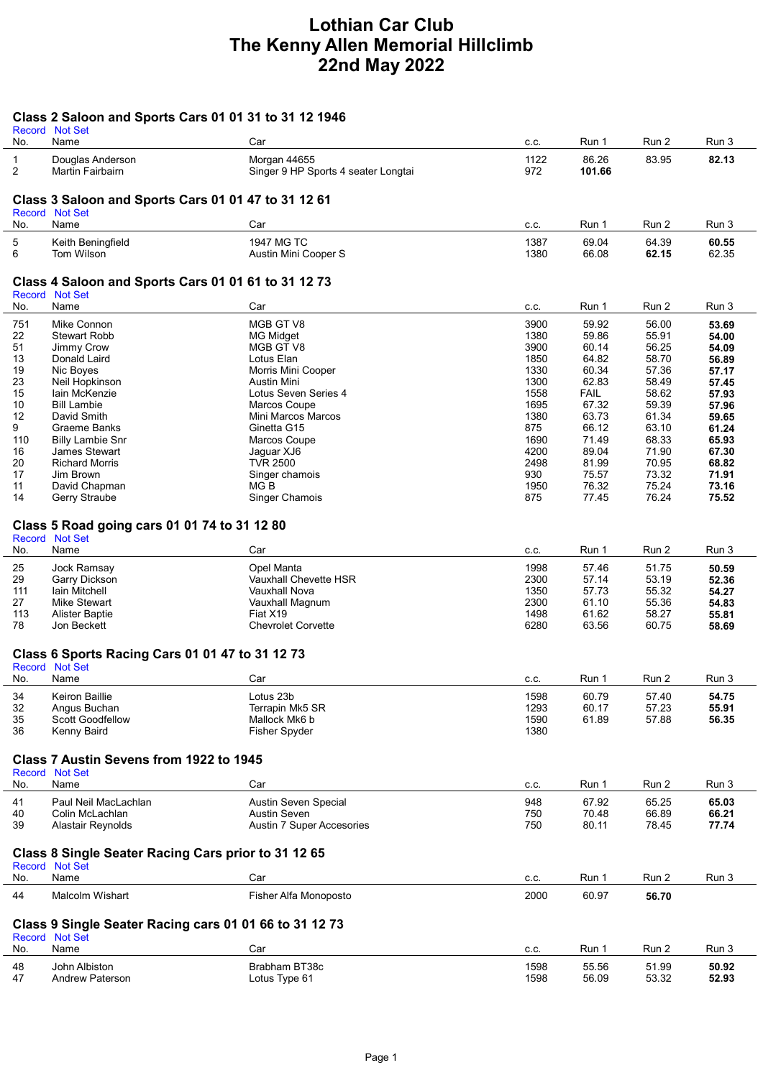## Lothian Car Club The Kenny Allen Memorial Hillclimb 22nd May 2022

## Class 2 Saloon and Sports Cars 01 01 31 to 31 12 1946

| No.                                                                      | Record Not Set<br>Name                                                | Car                                         | C.C.         | Run 1          | Run 2          | Run 3          |  |  |  |
|--------------------------------------------------------------------------|-----------------------------------------------------------------------|---------------------------------------------|--------------|----------------|----------------|----------------|--|--|--|
| $\mathbf{1}$                                                             | Douglas Anderson                                                      | Morgan 44655                                | 1122         | 86.26          | 83.95          | 82.13          |  |  |  |
| $\overline{2}$                                                           | Martin Fairbairn                                                      | Singer 9 HP Sports 4 seater Longtai         | 972          | 101.66         |                |                |  |  |  |
|                                                                          |                                                                       |                                             |              |                |                |                |  |  |  |
|                                                                          | Class 3 Saloon and Sports Cars 01 01 47 to 31 12 61                   |                                             |              |                |                |                |  |  |  |
| No.                                                                      | Record Not Set<br>Name                                                | Car                                         | C.C.         | Run 1          | Run 2          | Run 3          |  |  |  |
| 5                                                                        | Keith Beningfield                                                     | 1947 MG TC                                  | 1387         | 69.04          | 64.39          | 60.55          |  |  |  |
| 6                                                                        | Tom Wilson                                                            | Austin Mini Cooper S                        | 1380         | 66.08          | 62.15          | 62.35          |  |  |  |
|                                                                          |                                                                       |                                             |              |                |                |                |  |  |  |
|                                                                          | Class 4 Saloon and Sports Cars 01 01 61 to 31 12 73<br>Record Not Set |                                             |              |                |                |                |  |  |  |
| No.                                                                      | Name                                                                  | Car                                         | C.C.         | Run 1          | Run 2          | Run 3          |  |  |  |
| 751                                                                      | Mike Connon                                                           | MGB GT V8                                   | 3900         | 59.92          | 56.00          | 53.69          |  |  |  |
| 22                                                                       | <b>Stewart Robb</b>                                                   | MG Midget                                   | 1380         | 59.86          | 55.91          | 54.00          |  |  |  |
| 51<br>13                                                                 | Jimmy Crow                                                            | MGB GT V8                                   | 3900<br>1850 | 60.14<br>64.82 | 56.25<br>58.70 | 54.09<br>56.89 |  |  |  |
| 19                                                                       | Donald Laird<br>Nic Boyes                                             | Lotus Elan<br>Morris Mini Cooper            | 1330         | 60.34          | 57.36          | 57.17          |  |  |  |
| 23                                                                       | Neil Hopkinson                                                        | Austin Mini                                 | 1300         | 62.83          | 58.49          | 57.45          |  |  |  |
| 15                                                                       | lain McKenzie                                                         | Lotus Seven Series 4                        | 1558         | <b>FAIL</b>    | 58.62          | 57.93          |  |  |  |
| 10                                                                       | <b>Bill Lambie</b>                                                    | Marcos Coupe                                | 1695         | 67.32          | 59.39          | 57.96          |  |  |  |
| 12<br>9                                                                  | David Smith                                                           | Mini Marcos Marcos<br>Ginetta G15           | 1380<br>875  | 63.73<br>66.12 | 61.34<br>63.10 | 59.65          |  |  |  |
| 110                                                                      | Graeme Banks<br><b>Billy Lambie Snr</b>                               | Marcos Coupe                                | 1690         | 71.49          | 68.33          | 61.24<br>65.93 |  |  |  |
| 16                                                                       | <b>James Stewart</b>                                                  | Jaguar XJ6                                  | 4200         | 89.04          | 71.90          | 67.30          |  |  |  |
| 20                                                                       | <b>Richard Morris</b>                                                 | <b>TVR 2500</b>                             | 2498         | 81.99          | 70.95          | 68.82          |  |  |  |
| 17                                                                       | Jim Brown                                                             | Singer chamois                              | 930          | 75.57          | 73.32          | 71.91          |  |  |  |
| 11<br>14                                                                 | David Chapman                                                         | MG B<br><b>Singer Chamois</b>               | 1950<br>875  | 76.32<br>77.45 | 75.24<br>76.24 | 73.16          |  |  |  |
|                                                                          | Gerry Straube                                                         |                                             |              |                |                | 75.52          |  |  |  |
|                                                                          | Class 5 Road going cars 01 01 74 to 31 12 80                          |                                             |              |                |                |                |  |  |  |
|                                                                          | Record Not Set                                                        |                                             |              |                |                |                |  |  |  |
| No.                                                                      | Name                                                                  | Car                                         | C.C.         | Run 1          | Run 2          | Run 3          |  |  |  |
| 25                                                                       | Jock Ramsay                                                           | Opel Manta                                  | 1998         | 57.46          | 51.75          | 50.59          |  |  |  |
| 29                                                                       | Garry Dickson                                                         | Vauxhall Chevette HSR                       | 2300         | 57.14          | 53.19          | 52.36          |  |  |  |
| 111                                                                      | Iain Mitchell                                                         | Vauxhall Nova                               | 1350         | 57.73          | 55.32          | 54.27          |  |  |  |
| 27<br>113                                                                | <b>Mike Stewart</b><br><b>Alister Baptie</b>                          | Vauxhall Magnum<br>Fiat X19                 | 2300<br>1498 | 61.10<br>61.62 | 55.36<br>58.27 | 54.83<br>55.81 |  |  |  |
| 78                                                                       | Jon Beckett                                                           | <b>Chevrolet Corvette</b>                   | 6280         | 63.56          | 60.75          | 58.69          |  |  |  |
|                                                                          |                                                                       |                                             |              |                |                |                |  |  |  |
|                                                                          | Class 6 Sports Racing Cars 01 01 47 to 31 12 73                       |                                             |              |                |                |                |  |  |  |
| No.                                                                      | Record Not Set<br>Name                                                | Car                                         |              | Run 1          | Run 2          | Run 3          |  |  |  |
|                                                                          |                                                                       |                                             | C.C.         |                |                |                |  |  |  |
| 34<br>32                                                                 | Keiron Baillie<br>Angus Buchan                                        | Lotus 23b<br>Terrapin Mk5 SR                | 1598<br>1293 | 60.79<br>60.17 | 57.40<br>57.23 | 54.75<br>55.91 |  |  |  |
| 35                                                                       | Scott Goodfellow                                                      | Mallock Mk6 b                               | 1590         | 61.89          | 57.88          | 56.35          |  |  |  |
| 36                                                                       | Kenny Baird                                                           | <b>Fisher Spyder</b>                        | 1380         |                |                |                |  |  |  |
|                                                                          |                                                                       |                                             |              |                |                |                |  |  |  |
|                                                                          | Class 7 Austin Sevens from 1922 to 1945                               |                                             |              |                |                |                |  |  |  |
| No.                                                                      | Record Not Set<br>Name                                                | Car                                         | C.C.         | Run 1          | Run 2          | Run 3          |  |  |  |
|                                                                          |                                                                       |                                             |              |                |                |                |  |  |  |
| 41<br>40                                                                 | Paul Neil MacLachlan<br>Colin McLachlan                               | <b>Austin Seven Special</b><br>Austin Seven | 948<br>750   | 67.92<br>70.48 | 65.25<br>66.89 | 65.03<br>66.21 |  |  |  |
| 39                                                                       | Alastair Reynolds                                                     | <b>Austin 7 Super Accesories</b>            | 750          | 80.11          | 78.45          | 77.74          |  |  |  |
|                                                                          |                                                                       |                                             |              |                |                |                |  |  |  |
|                                                                          | Class 8 Single Seater Racing Cars prior to 31 12 65                   |                                             |              |                |                |                |  |  |  |
|                                                                          | Record Not Set                                                        |                                             |              |                |                |                |  |  |  |
| No.                                                                      | Name                                                                  | Car                                         | C.C.         | Run 1          | Run 2          | Run 3          |  |  |  |
| 44                                                                       | Malcolm Wishart                                                       | Fisher Alfa Monoposto                       | 2000         | 60.97          | 56.70          |                |  |  |  |
|                                                                          |                                                                       |                                             |              |                |                |                |  |  |  |
| Class 9 Single Seater Racing cars 01 01 66 to 31 12 73<br>Record Not Set |                                                                       |                                             |              |                |                |                |  |  |  |
| No.                                                                      | Name                                                                  | Car                                         | C.C.         | Run 1          | Run 2          | Run 3          |  |  |  |
| 48                                                                       | John Albiston                                                         | Brabham BT38c                               | 1598         | 55.56          | 51.99          | 50.92          |  |  |  |
| 47                                                                       | <b>Andrew Paterson</b>                                                | Lotus Type 61                               | 1598         | 56.09          | 53.32          | 52.93          |  |  |  |
|                                                                          |                                                                       |                                             |              |                |                |                |  |  |  |